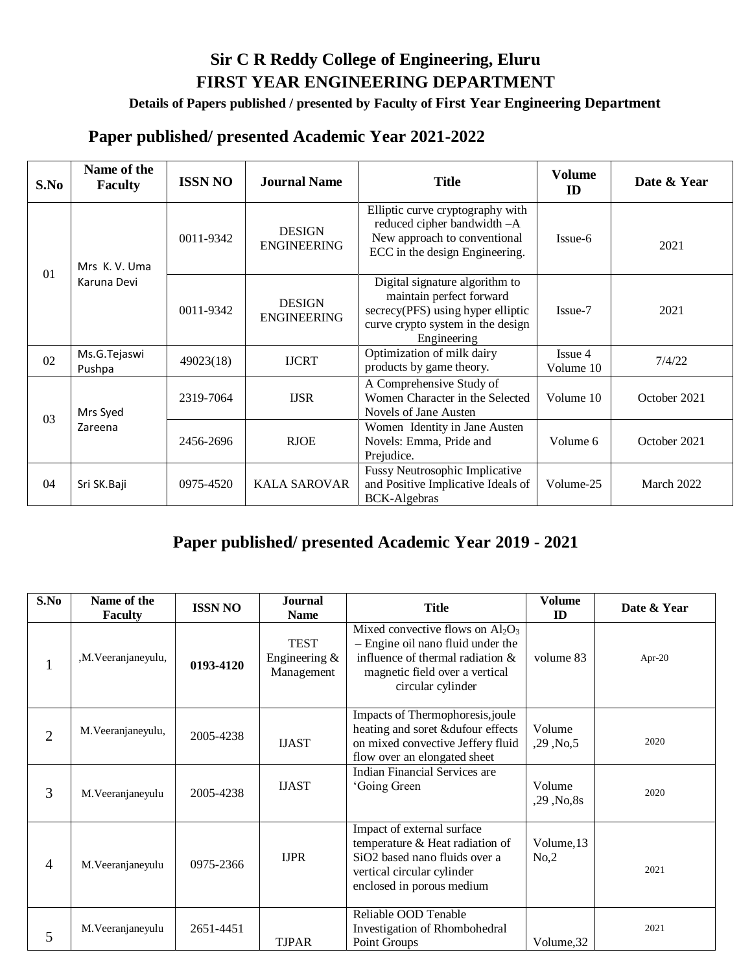## **Sir C R Reddy College of Engineering, Eluru FIRST YEAR ENGINEERING DEPARTMENT**

## **Details of Papers published / presented by Faculty of First Year Engineering Department**

## **Paper published/ presented Academic Year 2021-2022**

| S.No | Name of the<br><b>Faculty</b> | <b>ISSN NO</b> | <b>Journal Name</b>                 | <b>Title</b>                                                                                                                                        | <b>Volume</b><br>ID  | Date & Year  |
|------|-------------------------------|----------------|-------------------------------------|-----------------------------------------------------------------------------------------------------------------------------------------------------|----------------------|--------------|
| 01   | Mrs K.V. Uma<br>Karuna Devi   | 0011-9342      | <b>DESIGN</b><br><b>ENGINEERING</b> | Elliptic curve cryptography with<br>reduced cipher bandwidth -A<br>New approach to conventional<br>ECC in the design Engineering.                   | Issue-6              | 2021         |
|      |                               | 0011-9342      | <b>DESIGN</b><br><b>ENGINEERING</b> | Digital signature algorithm to<br>maintain perfect forward<br>secrecy(PFS) using hyper elliptic<br>curve crypto system in the design<br>Engineering | Issue-7              | 2021         |
| 02   | Ms.G.Tejaswi<br>Pushpa        | 49023(18)      | <b>IJCRT</b>                        | Optimization of milk dairy<br>products by game theory.                                                                                              | Issue 4<br>Volume 10 | 7/4/22       |
| 03   | Mrs Syed<br>Zareena           | 2319-7064      | <b>IJSR</b>                         | A Comprehensive Study of<br>Women Character in the Selected<br>Novels of Jane Austen                                                                | Volume 10            | October 2021 |
|      |                               | 2456-2696      | <b>RJOE</b>                         | Women Identity in Jane Austen<br>Novels: Emma, Pride and<br>Prejudice.                                                                              | Volume 6             | October 2021 |
| 04   | Sri SK.Baji                   | 0975-4520      | <b>KALA SAROVAR</b>                 | Fussy Neutrosophic Implicative<br>and Positive Implicative Ideals of<br>BCK-Algebras                                                                | Volume-25            | March 2022   |

## **Paper published/ presented Academic Year 2019 - 2021**

| S.No           | Name of the<br><b>Faculty</b> | <b>ISSN NO</b> | <b>Journal</b><br><b>Name</b>                 | <b>Title</b>                                                                                                                                                          | <b>Volume</b><br>ID      | Date & Year |
|----------------|-------------------------------|----------------|-----------------------------------------------|-----------------------------------------------------------------------------------------------------------------------------------------------------------------------|--------------------------|-------------|
| $\mathbf{r}$   | ,M.Veeranjaneyulu,            | 0193-4120      | <b>TEST</b><br>Engineering $\&$<br>Management | Mixed convective flows on $Al_2O_3$<br>- Engine oil nano fluid under the<br>influence of thermal radiation &<br>magnetic field over a vertical<br>circular cylinder   | volume 83                | Apr-20      |
| $\overline{2}$ | M. Veeranjaneyulu,            | 2005-4238      | <b>IJAST</b>                                  | Impacts of Thermophoresis, joule<br>heating and soret &dufour effects<br>on mixed convective Jeffery fluid<br>flow over an elongated sheet                            | Volume<br>$,29,$ No $,5$ | 2020        |
| 3              | M. Veeranjaneyulu             | 2005-4238      | <b>IJAST</b>                                  | <b>Indian Financial Services are</b><br>'Going Green                                                                                                                  | Volume<br>,29, No, 8s    | 2020        |
| $\overline{4}$ | M. Veeranjaneyulu             | 0975-2366      | <b>IJPR</b>                                   | Impact of external surface<br>temperature & Heat radiation of<br>SiO <sub>2</sub> based nano fluids over a<br>vertical circular cylinder<br>enclosed in porous medium | Volume, 13<br>No, 2      | 2021        |
| 5              | M. Veeranjaneyulu             | 2651-4451      | <b>TJPAR</b>                                  | Reliable OOD Tenable<br>Investigation of Rhombohedral<br>Point Groups                                                                                                 | Volume, 32               | 2021        |